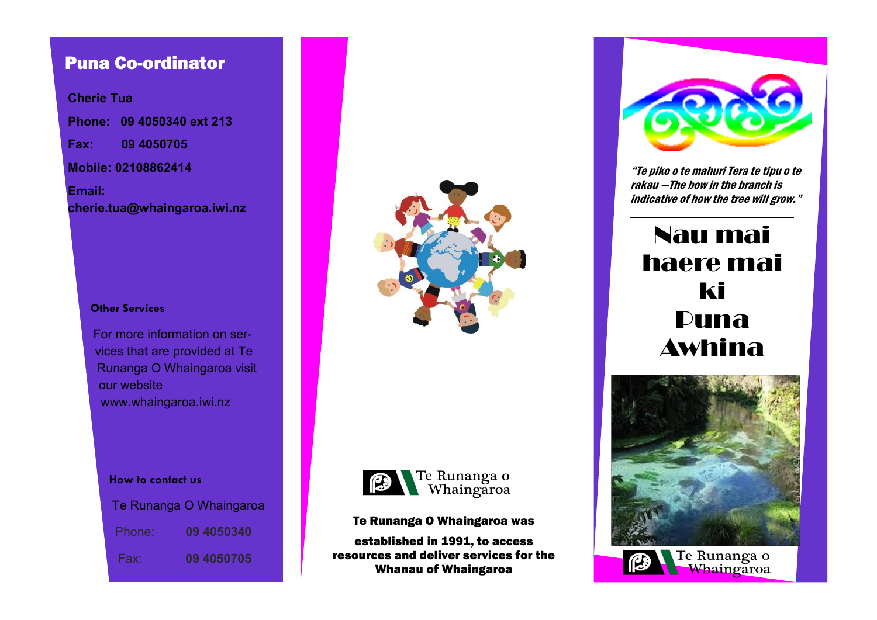# Puna Co-ordinator

**Cherie Tua Phone: 09 4050340 ext 213 Fax: 09 4050705 Mobile: 02108862414 Email: cherie.tua@whaingaroa.iwi.nz**

#### **Other Services**

For more information on services that are provided at Te Runanga O Whaingaroa visit our website www.whaingaroa.iwi.nz

**How to contact us**

|        | Te Runanga O Whaingaroa |
|--------|-------------------------|
| Phone: | 09 4050340              |
| Fax:   | <b>09 4050705</b>       |





Te Runanga O Whaingaroa was

established in 1991, to access resources and deliver services for the Whanau of Whaingaroa



"Te piko o te mahuri Tera te tipu o te rakau —The bow in the branch is indicative of how the tree will grow."

# Nau mai haere mai ki Puna Awhina